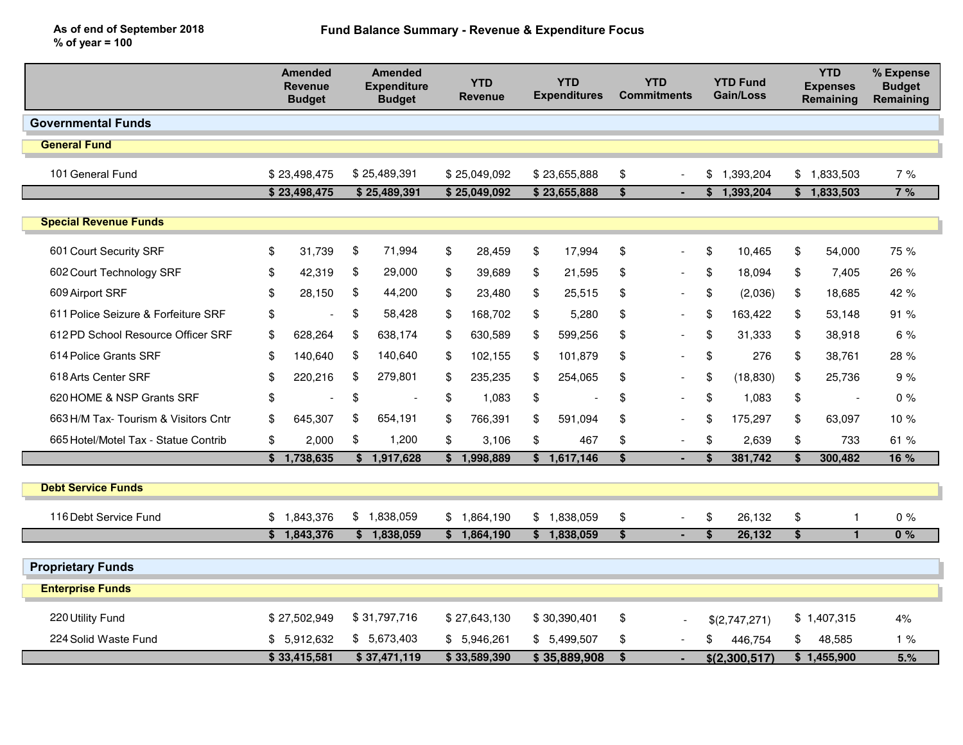As of end of September 2018% of year = 100

|                                      |              | <b>Amended</b><br><b>Revenue</b><br><b>Budget</b> |              | <b>Amended</b><br><b>Expenditure</b><br><b>Budget</b> |              | <b>YTD</b><br><b>Revenue</b> |                           | <b>YTD</b><br><b>Expenditures</b> |    | <b>YTD</b><br><b>Commitments</b> |               | <b>YTD Fund</b><br><b>Gain/Loss</b> |                         | <b>YTD</b><br><b>Expenses</b><br>Remaining | % Expense<br><b>Budget</b><br>Remaining |
|--------------------------------------|--------------|---------------------------------------------------|--------------|-------------------------------------------------------|--------------|------------------------------|---------------------------|-----------------------------------|----|----------------------------------|---------------|-------------------------------------|-------------------------|--------------------------------------------|-----------------------------------------|
| <b>Governmental Funds</b>            |              |                                                   |              |                                                       |              |                              |                           |                                   |    |                                  |               |                                     |                         |                                            |                                         |
| <b>General Fund</b>                  |              |                                                   |              |                                                       |              |                              |                           |                                   |    |                                  |               |                                     |                         |                                            |                                         |
| 101 General Fund                     | \$23,498,475 |                                                   | \$25,489,391 |                                                       | \$25,049,092 |                              | \$23,655,888              |                                   | \$ |                                  |               | \$1,393,204                         |                         | \$1,833,503                                | 7%                                      |
|                                      |              | \$23,498,475                                      |              | \$25,489,391                                          |              | \$25,049,092                 |                           | \$23,655,888                      |    | ٠                                |               | \$1,393,204                         |                         | $\sqrt{5}$ 1,833,503                       | 7%                                      |
| <b>Special Revenue Funds</b>         |              |                                                   |              |                                                       |              |                              |                           |                                   |    |                                  |               |                                     |                         |                                            |                                         |
| 601 Court Security SRF               | \$           | 31,739                                            | \$           | 71,994                                                | \$           | 28,459                       | \$                        | 17,994                            | \$ | $\overline{a}$                   | \$            | 10,465                              | \$                      | 54,000                                     | 75 %                                    |
| 602 Court Technology SRF             | \$           | 42,319                                            | \$           | 29,000                                                | \$           | 39,689                       | \$                        | 21,595                            | \$ | $\blacksquare$                   | \$            | 18,094                              | \$                      | 7.405                                      | 26 %                                    |
| 609 Airport SRF                      | \$           | 28,150                                            | \$           | 44,200                                                | \$           | 23,480                       | \$                        | 25,515                            | \$ | $\blacksquare$                   | \$            | (2,036)                             | \$                      | 18,685                                     | 42 %                                    |
| 611 Police Seizure & Forfeiture SRF  | \$           |                                                   | \$           | 58,428                                                | \$           | 168,702                      | \$                        | 5,280                             | \$ | $\blacksquare$                   | \$            | 163,422                             | \$                      | 53,148                                     | 91%                                     |
| 612 PD School Resource Officer SRF   | \$           | 628,264                                           | \$           | 638.174                                               | \$           | 630,589                      | \$                        | 599,256                           | \$ | $\blacksquare$                   | \$            | 31,333                              | \$                      | 38,918                                     | 6 %                                     |
| 614 Police Grants SRF                | \$           | 140,640                                           | \$           | 140,640                                               | \$           | 102,155                      | \$                        | 101,879                           | \$ | $\blacksquare$                   | \$            | 276                                 | \$                      | 38,761                                     | 28 %                                    |
| 618 Arts Center SRF                  | \$           | 220,216                                           | \$           | 279,801                                               | \$           | 235,235                      | \$                        | 254,065                           | \$ | $\overline{\phantom{a}}$         | \$            | (18, 830)                           | \$                      | 25,736                                     | 9%                                      |
| 620 HOME & NSP Grants SRF            | \$           |                                                   | \$           | $\overline{\phantom{a}}$                              | \$           | 1,083                        | \$                        |                                   | \$ | $\blacksquare$                   | \$            | 1,083                               | \$                      | $\sim$                                     | 0%                                      |
| 663 H/M Tax- Tourism & Visitors Cntr | \$           | 645,307                                           | \$           | 654,191                                               | \$           | 766,391                      | \$                        | 591,094                           | \$ | $\overline{\phantom{a}}$         | \$            | 175,297                             | \$                      | 63,097                                     | 10 %                                    |
| 665 Hotel/Motel Tax - Statue Contrib | \$           | 2,000                                             | \$           | 1,200                                                 | \$           | 3,106                        | $\boldsymbol{\mathsf{s}}$ | 467                               | \$ | $\overline{\phantom{a}}$         | \$            | 2,639                               | \$                      | 733                                        | 61 %                                    |
|                                      | \$           | 1,738,635                                         | \$           | 1,917,628                                             | \$           | 1,998,889                    | \$                        | 1,617,146                         | \$ |                                  | \$            | 381,742                             | \$                      | 300,482                                    | 16 %                                    |
| <b>Debt Service Funds</b>            |              |                                                   |              |                                                       |              |                              |                           |                                   |    |                                  |               |                                     |                         |                                            |                                         |
| 116 Debt Service Fund                | \$           | 1,843,376                                         |              | \$1,838,059                                           |              | \$1,864,190                  | \$                        | 1,838,059                         | \$ |                                  | \$            | 26,132                              | \$                      | -1                                         | $0\%$                                   |
|                                      |              | \$1,843,376                                       |              | \$1,838,059                                           |              | \$1,864,190                  |                           | \$1,838,059                       | \$ | ۰                                | \$            | 26,132                              | $\overline{\mathbf{s}}$ | $\blacksquare$                             | 0%                                      |
| <b>Proprietary Funds</b>             |              |                                                   |              |                                                       |              |                              |                           |                                   |    |                                  |               |                                     |                         |                                            |                                         |
| <b>Enterprise Funds</b>              |              |                                                   |              |                                                       |              |                              |                           |                                   |    |                                  |               |                                     |                         |                                            |                                         |
| 220 Utility Fund                     |              | \$27,502,949                                      |              | \$31,797,716                                          |              | \$27,643,130                 |                           | \$30,390,401                      | \$ |                                  |               | \$(2,747,271)                       |                         | \$1,407,315                                | 4%                                      |
| 224 Solid Waste Fund                 |              | \$5,912,632                                       |              | \$5,673,403                                           |              | \$5,946,261                  |                           | \$ 5,499,507                      | \$ |                                  | \$            | 446,754                             | \$                      | 48,585                                     | 1%                                      |
|                                      | \$33,415,581 |                                                   | \$37,471,119 |                                                       | \$33,589,390 |                              | \$35,889,908              |                                   | \$ |                                  | \$(2,300,517) |                                     | \$1,455,900             |                                            | 5.%                                     |